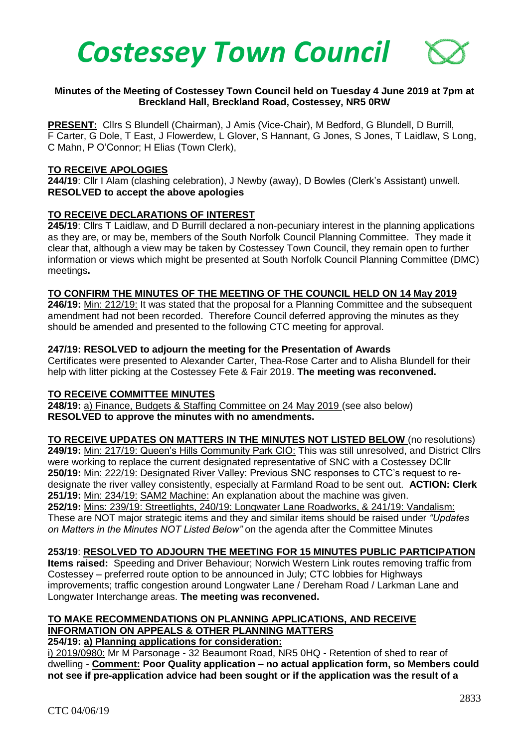

### **Minutes of the Meeting of Costessey Town Council held on Tuesday 4 June 2019 at 7pm at Breckland Hall, Breckland Road, Costessey, NR5 0RW**

**PRESENT:** Cllrs S Blundell (Chairman), J Amis (Vice-Chair), M Bedford, G Blundell, D Burrill, F Carter, G Dole, T East, J Flowerdew, L Glover, S Hannant, G Jones, S Jones, T Laidlaw, S Long, C Mahn, P O'Connor; H Elias (Town Clerk),

### **TO RECEIVE APOLOGIES**

**244/19**: Cllr I Alam (clashing celebration), J Newby (away), D Bowles (Clerk's Assistant) unwell. **RESOLVED to accept the above apologies**

# **TO RECEIVE DECLARATIONS OF INTEREST**

**245/19**: Cllrs T Laidlaw, and D Burrill declared a non-pecuniary interest in the planning applications as they are, or may be, members of the South Norfolk Council Planning Committee. They made it clear that, although a view may be taken by Costessey Town Council, they remain open to further information or views which might be presented at South Norfolk Council Planning Committee (DMC) meetings**.**

#### **TO CONFIRM THE MINUTES OF THE MEETING OF THE COUNCIL HELD ON 14 May 2019**

**246/19:** Min: 212/19: It was stated that the proposal for a Planning Committee and the subsequent amendment had not been recorded. Therefore Council deferred approving the minutes as they should be amended and presented to the following CTC meeting for approval.

### **247/19: RESOLVED to adjourn the meeting for the Presentation of Awards**

Certificates were presented to Alexander Carter, Thea-Rose Carter and to Alisha Blundell for their help with litter picking at the Costessey Fete & Fair 2019. **The meeting was reconvened.**

#### **TO RECEIVE COMMITTEE MINUTES**

**248/19:** a) Finance, Budgets & Staffing Committee on 24 May 2019 (see also below) **RESOLVED to approve the minutes with no amendments.** 

**TO RECEIVE UPDATES ON MATTERS IN THE MINUTES NOT LISTED BELOW** (no resolutions) **249/19:** Min: 217/19: Queen's Hills Community Park CIO: This was still unresolved, and District Cllrs were working to replace the current designated representative of SNC with a Costessey DCllr **250/19:** Min: 222/19: Designated River Valley: Previous SNC responses to CTC's request to redesignate the river valley consistently, especially at Farmland Road to be sent out. **ACTION: Clerk 251/19:** Min: 234/19: SAM2 Machine: An explanation about the machine was given. **252/19:** Mins: 239/19: Streetlights, 240/19: Longwater Lane Roadworks, & 241/19: Vandalism: These are NOT major strategic items and they and similar items should be raised under *"Updates on Matters in the Minutes NOT Listed Below"* on the agenda after the Committee Minutes

# **253/19**: **RESOLVED TO ADJOURN THE MEETING FOR 15 MINUTES PUBLIC PARTICIPATION**

**Items raised:** Speeding and Driver Behaviour; Norwich Western Link routes removing traffic from Costessey – preferred route option to be announced in July; CTC lobbies for Highways improvements; traffic congestion around Longwater Lane / Dereham Road / Larkman Lane and Longwater Interchange areas. **The meeting was reconvened.**

# **TO MAKE RECOMMENDATIONS ON PLANNING APPLICATIONS, AND RECEIVE INFORMATION ON APPEALS & OTHER PLANNING MATTERS**

# **254/19: a) Planning applications for consideration:**

i) 2019/0980: Mr M Parsonage - 32 Beaumont Road, NR5 0HQ - Retention of shed to rear of dwelling - **Comment: Poor Quality application – no actual application form, so Members could not see if pre-application advice had been sought or if the application was the result of a**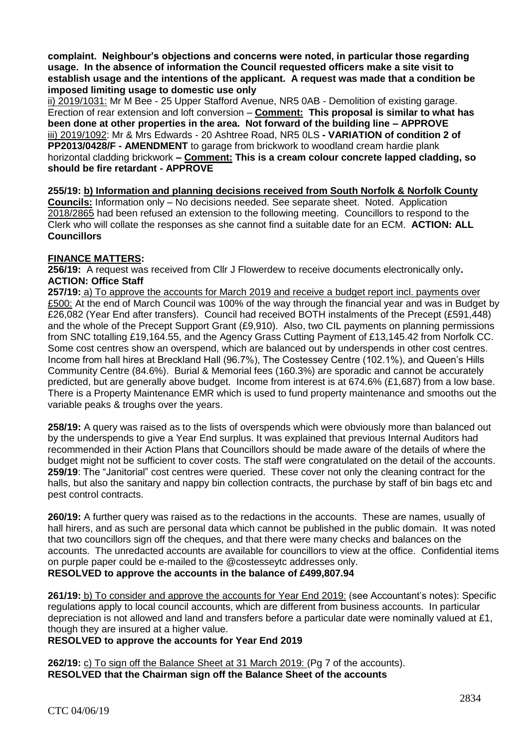**complaint. Neighbour's objections and concerns were noted, in particular those regarding usage. In the absence of information the Council requested officers make a site visit to establish usage and the intentions of the applicant. A request was made that a condition be imposed limiting usage to domestic use only**

ii) 2019/1031: Mr M Bee - 25 Upper Stafford Avenue, NR5 0AB - Demolition of existing garage. Erection of rear extension and loft conversion – **Comment: This proposal is similar to what has been done at other properties in the area. Not forward of the building line – APPROVE** iii) 2019/1092: Mr & Mrs Edwards - 20 Ashtree Road, NR5 0LS **- VARIATION of condition 2 of PP2013/0428/F - AMENDMENT** to garage from brickwork to woodland cream hardie plank horizontal cladding brickwork **– Comment: This is a cream colour concrete lapped cladding, so should be fire retardant - APPROVE**

**255/19: b) Information and planning decisions received from South Norfolk & Norfolk County Councils:** Information only – No decisions needed. See separate sheet. Noted. Application 2018/2865 had been refused an extension to the following meeting. Councillors to respond to the Clerk who will collate the responses as she cannot find a suitable date for an ECM. **ACTION: ALL Councillors**

# **FINANCE MATTERS:**

**256/19:** A request was received from Cllr J Flowerdew to receive documents electronically only**. ACTION: Office Staff** 

**257/19:** a) To approve the accounts for March 2019 and receive a budget report incl. payments over £500: At the end of March Council was 100% of the way through the financial year and was in Budget by £26,082 (Year End after transfers). Council had received BOTH instalments of the Precept (£591,448) and the whole of the Precept Support Grant (£9,910). Also, two CIL payments on planning permissions from SNC totalling £19,164.55, and the Agency Grass Cutting Payment of £13,145.42 from Norfolk CC. Some cost centres show an overspend, which are balanced out by underspends in other cost centres. Income from hall hires at Breckland Hall (96.7%), The Costessey Centre (102.1%), and Queen's Hills Community Centre (84.6%). Burial & Memorial fees (160.3%) are sporadic and cannot be accurately predicted, but are generally above budget. Income from interest is at 674.6% (£1,687) from a low base. There is a Property Maintenance EMR which is used to fund property maintenance and smooths out the variable peaks & troughs over the years.

**258/19:** A query was raised as to the lists of overspends which were obviously more than balanced out by the underspends to give a Year End surplus. It was explained that previous Internal Auditors had recommended in their Action Plans that Councillors should be made aware of the details of where the budget might not be sufficient to cover costs. The staff were congratulated on the detail of the accounts. **259/19**: The "Janitorial" cost centres were queried. These cover not only the cleaning contract for the halls, but also the sanitary and nappy bin collection contracts, the purchase by staff of bin bags etc and pest control contracts.

**260/19:** A further query was raised as to the redactions in the accounts. These are names, usually of hall hirers, and as such are personal data which cannot be published in the public domain. It was noted that two councillors sign off the cheques, and that there were many checks and balances on the accounts. The unredacted accounts are available for councillors to view at the office. Confidential items on purple paper could be e-mailed to the @costesseytc addresses only. **RESOLVED to approve the accounts in the balance of £499,807.94**

**261/19:** b) To consider and approve the accounts for Year End 2019: (see Accountant's notes): Specific regulations apply to local council accounts, which are different from business accounts. In particular depreciation is not allowed and land and transfers before a particular date were nominally valued at £1, though they are insured at a higher value.

# **RESOLVED to approve the accounts for Year End 2019**

**262/19:** c) To sign off the Balance Sheet at 31 March 2019: (Pg 7 of the accounts). **RESOLVED that the Chairman sign off the Balance Sheet of the accounts**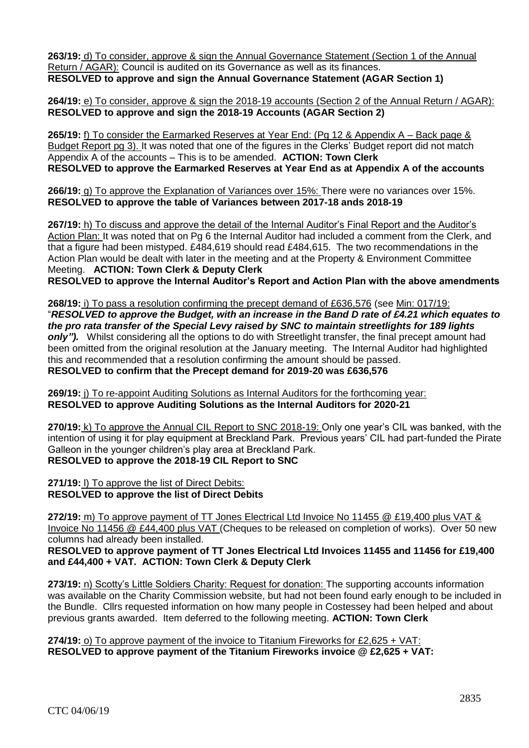**263/19:** d) To consider, approve & sign the Annual Governance Statement (Section 1 of the Annual Return / AGAR): Council is audited on its Governance as well as its finances. **RESOLVED to approve and sign the Annual Governance Statement (AGAR Section 1)**

**264/19:** e) To consider, approve & sign the 2018-19 accounts (Section 2 of the Annual Return / AGAR): **RESOLVED to approve and sign the 2018-19 Accounts (AGAR Section 2)**

**265/19:** f) To consider the Earmarked Reserves at Year End: (Pg 12 & Appendix A – Back page & Budget Report pg 3). It was noted that one of the figures in the Clerks' Budget report did not match Appendix A of the accounts – This is to be amended. **ACTION: Town Clerk RESOLVED to approve the Earmarked Reserves at Year End as at Appendix A of the accounts**

**266/19:** g) To approve the Explanation of Variances over 15%: There were no variances over 15%. **RESOLVED to approve the table of Variances between 2017-18 ands 2018-19**

**267/19:** h) To discuss and approve the detail of the Internal Auditor's Final Report and the Auditor's Action Plan: It was noted that on Pg 6 the Internal Auditor had included a comment from the Clerk, and that a figure had been mistyped. £484,619 should read £484,615. The two recommendations in the Action Plan would be dealt with later in the meeting and at the Property & Environment Committee Meeting. **ACTION: Town Clerk & Deputy Clerk**

**RESOLVED to approve the Internal Auditor's Report and Action Plan with the above amendments**

**268/19:** i) To pass a resolution confirming the precept demand of £636,576 (see Min: 017/19: "*RESOLVED to approve the Budget, with an increase in the Band D rate of £4.21 which equates to the pro rata transfer of the Special Levy raised by SNC to maintain streetlights for 189 lights only").* Whilst considering all the options to do with Streetlight transfer, the final precept amount had been omitted from the original resolution at the January meeting. The Internal Auditor had highlighted this and recommended that a resolution confirming the amount should be passed. **RESOLVED to confirm that the Precept demand for 2019-20 was £636,576**

269/19: i) To re-appoint Auditing Solutions as Internal Auditors for the forthcoming year: **RESOLVED to approve Auditing Solutions as the Internal Auditors for 2020-21**

**270/19:** k) To approve the Annual CIL Report to SNC 2018-19: Only one year's CIL was banked, with the intention of using it for play equipment at Breckland Park. Previous years' CIL had part-funded the Pirate Galleon in the younger children's play area at Breckland Park. **RESOLVED to approve the 2018-19 CIL Report to SNC**

**271/19:** l) To approve the list of Direct Debits: **RESOLVED to approve the list of Direct Debits**

**272/19:** m) To approve payment of TT Jones Electrical Ltd Invoice No 11455 @ £19,400 plus VAT & Invoice No 11456 @ £44,400 plus VAT (Cheques to be released on completion of works). Over 50 new columns had already been installed.

**RESOLVED to approve payment of TT Jones Electrical Ltd Invoices 11455 and 11456 for £19,400 and £44,400 + VAT. ACTION: Town Clerk & Deputy Clerk**

273/19: n) Scotty's Little Soldiers Charity: Request for donation: The supporting accounts information was available on the Charity Commission website, but had not been found early enough to be included in the Bundle. Cllrs requested information on how many people in Costessey had been helped and about previous grants awarded. Item deferred to the following meeting. **ACTION: Town Clerk**

**274/19:** o) To approve payment of the invoice to Titanium Fireworks for £2,625 + VAT: **RESOLVED to approve payment of the Titanium Fireworks invoice @ £2,625 + VAT:**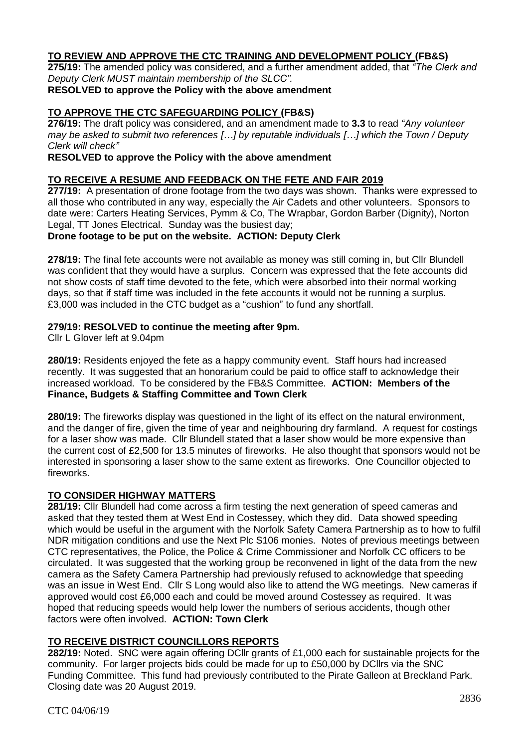# **TO REVIEW AND APPROVE THE CTC TRAINING AND DEVELOPMENT POLICY (FB&S)**

**275/19:** The amended policy was considered, and a further amendment added, that *"The Clerk and Deputy Clerk MUST maintain membership of the SLCC".*

### **RESOLVED to approve the Policy with the above amendment**

# **TO APPROVE THE CTC SAFEGUARDING POLICY (FB&S)**

**276/19:** The draft policy was considered, and an amendment made to **3.3** to read *"Any volunteer may be asked to submit two references […] by reputable individuals […] which the Town / Deputy Clerk will check"*

### **RESOLVED to approve the Policy with the above amendment**

### **TO RECEIVE A RESUME AND FEEDBACK ON THE FETE AND FAIR 2019**

**277/19:** A presentation of drone footage from the two days was shown. Thanks were expressed to all those who contributed in any way, especially the Air Cadets and other volunteers. Sponsors to date were: Carters Heating Services, Pymm & Co, The Wrapbar, Gordon Barber (Dignity), Norton Legal, TT Jones Electrical. Sunday was the busiest day;

### **Drone footage to be put on the website. ACTION: Deputy Clerk**

**278/19:** The final fete accounts were not available as money was still coming in, but Cllr Blundell was confident that they would have a surplus. Concern was expressed that the fete accounts did not show costs of staff time devoted to the fete, which were absorbed into their normal working days, so that if staff time was included in the fete accounts it would not be running a surplus. £3,000 was included in the CTC budget as a "cushion" to fund any shortfall.

### **279/19: RESOLVED to continue the meeting after 9pm.**

Cllr L Glover left at 9.04pm

**280/19:** Residents enjoyed the fete as a happy community event. Staff hours had increased recently. It was suggested that an honorarium could be paid to office staff to acknowledge their increased workload. To be considered by the FB&S Committee. **ACTION: Members of the Finance, Budgets & Staffing Committee and Town Clerk** 

**280/19:** The fireworks display was questioned in the light of its effect on the natural environment, and the danger of fire, given the time of year and neighbouring dry farmland. A request for costings for a laser show was made. Cllr Blundell stated that a laser show would be more expensive than the current cost of £2,500 for 13.5 minutes of fireworks. He also thought that sponsors would not be interested in sponsoring a laser show to the same extent as fireworks. One Councillor objected to fireworks.

# **TO CONSIDER HIGHWAY MATTERS**

**281/19:** Cllr Blundell had come across a firm testing the next generation of speed cameras and asked that they tested them at West End in Costessey, which they did. Data showed speeding which would be useful in the argument with the Norfolk Safety Camera Partnership as to how to fulfil NDR mitigation conditions and use the Next Plc S106 monies. Notes of previous meetings between CTC representatives, the Police, the Police & Crime Commissioner and Norfolk CC officers to be circulated. It was suggested that the working group be reconvened in light of the data from the new camera as the Safety Camera Partnership had previously refused to acknowledge that speeding was an issue in West End.Cllr S Long would also like to attend the WG meetings. New cameras if approved would cost £6,000 each and could be moved around Costessey as required.It was hoped that reducing speeds would help lower the numbers of serious accidents, though other factors were often involved. **ACTION: Town Clerk**

# **TO RECEIVE DISTRICT COUNCILLORS REPORTS**

**282/19:** Noted. SNC were again offering DCllr grants of £1,000 each for sustainable projects for the community. For larger projects bids could be made for up to £50,000 by DCllrs via the SNC Funding Committee. This fund had previously contributed to the Pirate Galleon at Breckland Park. Closing date was 20 August 2019.